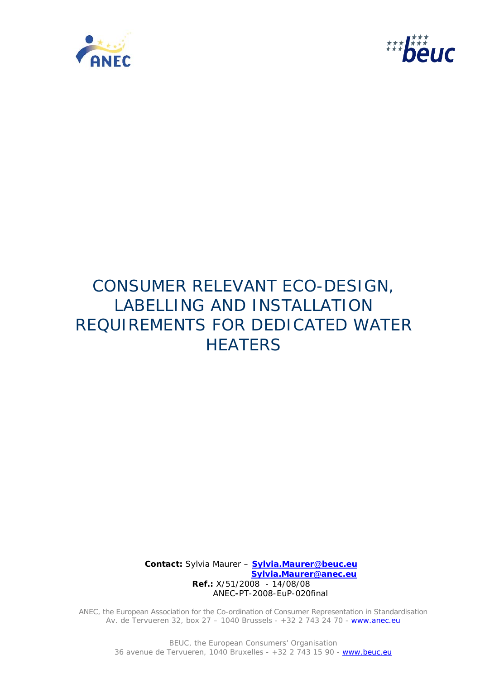



# CONSUMER RELEVANT ECO-DESIGN, LABELLING AND INSTALLATION REQUIREMENTS FOR DEDICATED WATER **HEATERS**

**Contact:** Sylvia Maurer – **Sylvia.Maurer@beuc.eu Sylvia.Maurer@anec.eu Ref.:** X/51/2008 - 14/08/08 ANEC**-**PT-2008-EuP-020final

ANEC, the European Association for the Co-ordination of Consumer Representation in Standardisation Av. de Tervueren 32, box 27 - 1040 Brussels - +32 2 743 24 70 - www.anec.eu

BEUC, the European Consumers' Organisation 36 avenue de Tervueren, 1040 Bruxelles - +32 2 743 15 90 - www.beuc.eu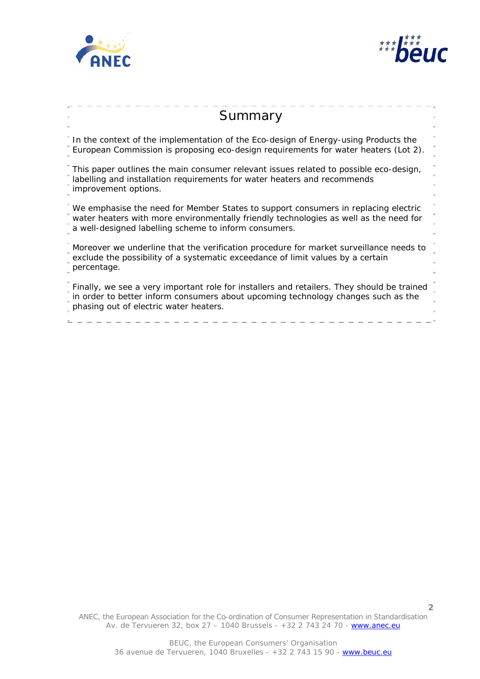



**2**

# **Summary** In the context of the implementation of the Eco-design of Energy-using Products the European Commission is proposing eco-design requirements for water heaters (Lot 2). This paper outlines the main consumer relevant issues related to possible eco-design, labelling and installation requirements for water heaters and recommends improvement options. We emphasise the need for Member States to support consumers in replacing electric water heaters with more environmentally friendly technologies as well as the need for a well-designed labelling scheme to inform consumers. Moreover we underline that the verification procedure for market surveillance needs to exclude the possibility of a systematic exceedance of limit values by a certain percentage. Finally, we see a very important role for installers and retailers. They should be trained in order to better inform consumers about upcoming technology changes such as the phasing out of electric water heaters.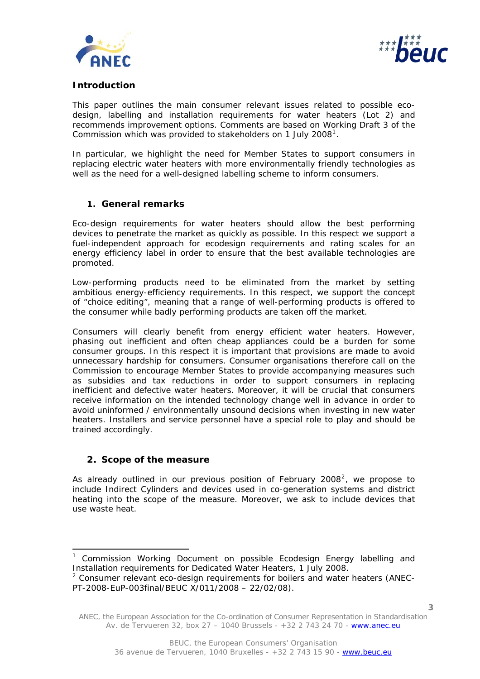



# **Introduction**

This paper outlines the main consumer relevant issues related to possible ecodesign, labelling and installation requirements for water heaters (Lot 2) and recommends improvement options. Comments are based on Working Draft 3 of the Commission which was provided to stakeholders on [1](#page-2-0) July 2008<sup>1</sup>.

In particular, we highlight the need for Member States to support consumers in replacing electric water heaters with more environmentally friendly technologies as well as the need for a well-designed labelling scheme to inform consumers.

#### **1. General remarks**

Eco-design requirements for water heaters should allow the best performing devices to penetrate the market as quickly as possible. In this respect we support a fuel-independent approach for ecodesign requirements and rating scales for an energy efficiency label in order to ensure that the best available technologies are promoted.

Low-performing products need to be eliminated from the market by setting ambitious energy-efficiency requirements. In this respect, we support the concept of "choice editing", meaning that a range of well-performing products is offered to the consumer while badly performing products are taken off the market.

Consumers will clearly benefit from energy efficient water heaters. However, phasing out inefficient and often cheap appliances could be a burden for some consumer groups. In this respect it is important that provisions are made to avoid unnecessary hardship for consumers. Consumer organisations therefore call on the Commission to encourage Member States to provide accompanying measures such as subsidies and tax reductions in order to support consumers in replacing inefficient and defective water heaters. Moreover, it will be crucial that consumers receive information on the intended technology change well in advance in order to avoid uninformed / environmentally unsound decisions when investing in new water heaters. Installers and service personnel have a special role to play and should be trained accordingly.

#### **2. Scope of the measure**

l

As already outlined in our previous position of February [2](#page-2-1)008<sup>2</sup>, we propose to include Indirect Cylinders and devices used in co-generation systems and district heating into the scope of the measure. Moreover, we ask to include devices that use waste heat.

<span id="page-2-0"></span><sup>&</sup>lt;sup>1</sup> Commission Working Document on possible Ecodesign Energy labelling and Installation requirements for Dedicated Water Heaters, 1 July 2008.  $2$  Consumer relevant eco-design requirements for boilers and water heaters (ANEC-

<span id="page-2-1"></span>PT-2008-EuP-003final/BEUC X/011/2008 – 22/02/08).

ANEC, the European Association for the Co-ordination of Consumer Representation in Standardisation Av. de Tervueren 32, box 27 – 1040 Brussels - +32 2 743 24 70 - www.anec.eu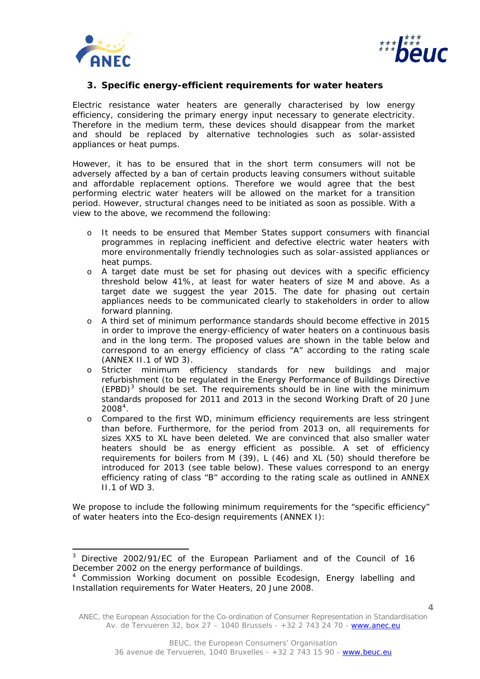

l



# **3. Specific energy-efficient requirements for water heaters**

Electric resistance water heaters are generally characterised by low energy efficiency, considering the primary energy input necessary to generate electricity. Therefore in the medium term, these devices should disappear from the market and should be replaced by alternative technologies such as solar-assisted appliances or heat pumps.

However, it has to be ensured that in the short term consumers will not be adversely affected by a ban of certain products leaving consumers without suitable and affordable replacement options. Therefore we would agree that the best performing electric water heaters will be allowed on the market for a transition period. However, structural changes need to be initiated as soon as possible. With a view to the above, we recommend the following:

- o It needs to be ensured that Member States support consumers with financial programmes in replacing inefficient and defective electric water heaters with more environmentally friendly technologies such as solar-assisted appliances or heat pumps.
- o A target date must be set for phasing out devices with a specific efficiency threshold below 41%, at least for water heaters of size M and above. As a target date we suggest the year 2015. The date for phasing out certain appliances needs to be communicated clearly to stakeholders in order to allow forward planning.
- o A third set of minimum performance standards should become effective in 2015 in order to improve the energy-efficiency of water heaters on a continuous basis and in the long term. The proposed values are shown in the table below and correspond to an energy efficiency of class "A" according to the rating scale (ANNEX II.1 of WD 3).
- o Stricter minimum efficiency standards for new buildings and major refurbishment (to be regulated in the Energy Performance of Buildings Directive  $(EPBD)^3$  $(EPBD)^3$  should be set. The requirements should be in line with the minimum standards proposed for 2011 and 2013 in the second Working Draft of 20 June  $2008<sup>4</sup>$  $2008<sup>4</sup>$  $2008<sup>4</sup>$ .
- o Compared to the first WD, minimum efficiency requirements are less stringent than before. Furthermore, for the period from 2013 on, all requirements for sizes XXS to XL have been deleted. We are convinced that also smaller water heaters should be as energy efficient as possible. A set of efficiency requirements for boilers from M (39), L (46) and XL (50) should therefore be introduced for 2013 (see table below). These values correspond to an energy efficiency rating of class "B" according to the rating scale as outlined in ANNEX  $II.1$  of WD 3.

We propose to include the following minimum requirements for the "specific efficiency" of water heaters into the Eco-design requirements (ANNEX I):

**4**

<span id="page-3-0"></span><sup>&</sup>lt;sup>3</sup> Directive 2002/91/EC of the European Parliament and of the Council of 16 December 2002 on the energy performance of buildings.

<span id="page-3-1"></span><sup>&</sup>lt;sup>4</sup> Commission Working document on possible Ecodesign, Energy labelling and Installation requirements for Water Heaters, 20 June 2008.

ANEC, the European Association for the Co-ordination of Consumer Representation in Standardisation Av. de Tervueren 32, box 27 – 1040 Brussels - +32 2 743 24 70 - www.anec.eu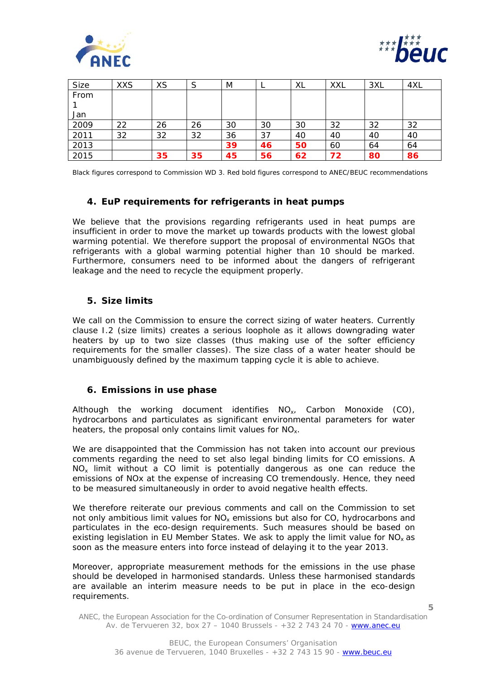



| <b>Size</b> | <b>XXS</b> | <b>XS</b> | S  | M  |    | XL | <b>XXL</b> | 3XL | 4XL |
|-------------|------------|-----------|----|----|----|----|------------|-----|-----|
| From        |            |           |    |    |    |    |            |     |     |
|             |            |           |    |    |    |    |            |     |     |
| Jan         |            |           |    |    |    |    |            |     |     |
| 2009        | 22         | 26        | 26 | 30 | 30 | 30 | 32         | 32  | 32  |
| 2011        | 32         | 32        | 32 | 36 | 37 | 40 | 40         | 40  | 40  |
| 2013        |            |           |    | 39 | 46 | 50 | 60         | 64  | 64  |
| 2015        |            | 35        | 35 | 45 | 56 | 62 | 72         | 80  | 86  |

Black figures correspond to Commission WD 3. Red bold figures correspond to ANEC/BEUC recommendations

# **4. EuP requirements for refrigerants in heat pumps**

We believe that the provisions regarding refrigerants used in heat pumps are insufficient in order to move the market up towards products with the lowest global warming potential. We therefore support the proposal of environmental NGOs that refrigerants with a global warming potential higher than 10 should be marked. Furthermore, consumers need to be informed about the dangers of refrigerant leakage and the need to recycle the equipment properly.

#### **5. Size limits**

We call on the Commission to ensure the correct sizing of water heaters. Currently clause I.2 (size limits) creates a serious loophole as it allows downgrading water heaters by up to two size classes (thus making use of the softer efficiency requirements for the smaller classes). The size class of a water heater should be unambiguously defined by the maximum tapping cycle it is able to achieve.

#### **6. Emissions in use phase**

Although the working document identifies  $NO<sub>x</sub>$ , Carbon Monoxide (CO), hydrocarbons and particulates as significant environmental parameters for water heaters, the proposal only contains limit values for NO<sub>x</sub>.

We are disappointed that the Commission has not taken into account our previous comments regarding the need to set also legal binding limits for CO emissions. A  $NO<sub>x</sub>$  limit without a CO limit is potentially dangerous as one can reduce the emissions of NOx at the expense of increasing CO tremendously. Hence, they need to be measured simultaneously in order to avoid negative health effects.

We therefore reiterate our previous comments and call on the Commission to set not only ambitious limit values for  $NO_x$  emissions but also for CO, hydrocarbons and particulates in the eco-design requirements. Such measures should be based on existing legislation in EU Member States. We ask to apply the limit value for  $NO<sub>x</sub>$  as soon as the measure enters into force instead of delaying it to the year 2013.

Moreover, appropriate measurement methods for the emissions in the use phase should be developed in harmonised standards. Unless these harmonised standards are available an interim measure needs to be put in place in the eco-design requirements.

**<sup>5</sup>**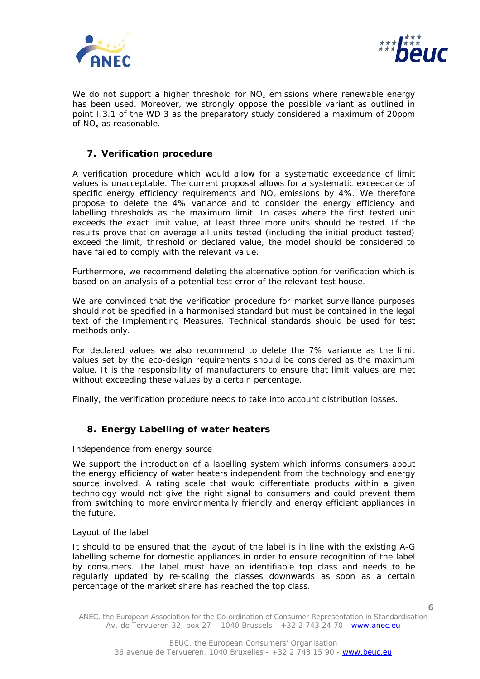



We do not support a higher threshold for  $NO<sub>x</sub>$  emissions where renewable energy has been used. Moreover, we strongly oppose the possible variant as outlined in point I.3.1 of the WD 3 as the preparatory study considered a maximum of 20ppm of NOx as reasonable.

# **7. Verification procedure**

A verification procedure which would allow for a systematic exceedance of limit values is unacceptable. The current proposal allows for a systematic exceedance of specific energy efficiency requirements and  $NO<sub>x</sub>$  emissions by 4%. We therefore propose to delete the 4% variance and to consider the energy efficiency and labelling thresholds as the maximum limit. In cases where the first tested unit exceeds the exact limit value, at least three more units should be tested. If the results prove that on average all units tested (including the initial product tested) exceed the limit, threshold or declared value, the model should be considered to have failed to comply with the relevant value.

Furthermore, we recommend deleting the alternative option for verification which is based on an analysis of a potential test error of the relevant test house.

We are convinced that the verification procedure for market surveillance purposes should not be specified in a harmonised standard but must be contained in the legal text of the Implementing Measures. Technical standards should be used for test methods only.

For declared values we also recommend to delete the 7% variance as the limit values set by the eco-design requirements should be considered as the maximum value. It is the responsibility of manufacturers to ensure that limit values are met without exceeding these values by a certain percentage.

Finally, the verification procedure needs to take into account distribution losses.

# **8. Energy Labelling of water heaters**

#### Independence from energy source

We support the introduction of a labelling system which informs consumers about the energy efficiency of water heaters independent from the technology and energy source involved. A rating scale that would differentiate products within a given technology would not give the right signal to consumers and could prevent them from switching to more environmentally friendly and energy efficient appliances in the future.

#### Layout of the label

It should to be ensured that the layout of the label is in line with the existing A-G labelling scheme for domestic appliances in order to ensure recognition of the label by consumers. The label must have an identifiable top class and needs to be regularly updated by re-scaling the classes downwards as soon as a certain percentage of the market share has reached the top class.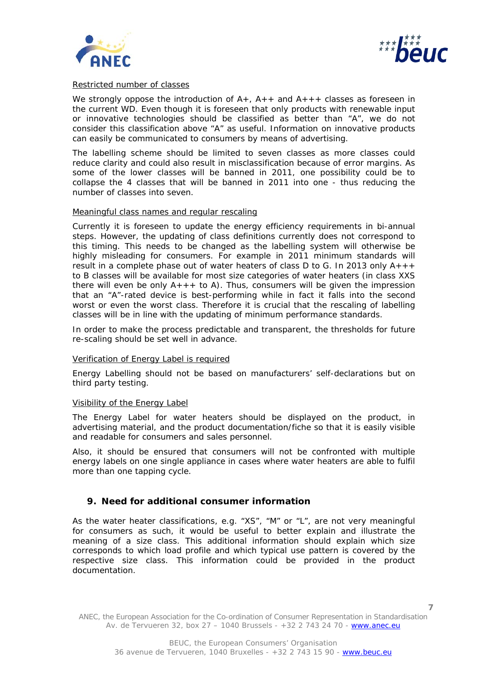



#### Restricted number of classes

We strongly oppose the introduction of  $A_{+}$ ,  $A_{+}$  and  $A_{+}$  + classes as foreseen in the current WD. Even though it is foreseen that only products with renewable input or innovative technologies should be classified as better than "A", we do not consider this classification above "A" as useful. Information on innovative products can easily be communicated to consumers by means of advertising.

The labelling scheme should be limited to seven classes as more classes could reduce clarity and could also result in misclassification because of error margins. As some of the lower classes will be banned in 2011, one possibility could be to collapse the 4 classes that will be banned in 2011 into one - thus reducing the number of classes into seven.

#### Meaningful class names and regular rescaling

Currently it is foreseen to update the energy efficiency requirements in bi-annual steps. However, the updating of class definitions currently does not correspond to this timing. This needs to be changed as the labelling system will otherwise be highly misleading for consumers. For example in 2011 minimum standards will result in a complete phase out of water heaters of class D to G. In 2013 only  $A_{+++}$ to B classes will be available for most size categories of water heaters (in class XXS there will even be only  $A_{++}$  to A). Thus, consumers will be given the impression that an "A"-rated device is best-performing while in fact it falls into the second worst or even the worst class. Therefore it is crucial that the rescaling of labelling classes will be in line with the updating of minimum performance standards.

In order to make the process predictable and transparent, the thresholds for future re-scaling should be set well in advance.

#### Verification of Energy Label is required

Energy Labelling should not be based on manufacturers' self-declarations but on third party testing.

#### Visibility of the Energy Label

The Energy Label for water heaters should be displayed on the product, in advertising material, and the product documentation/fiche so that it is easily visible and readable for consumers and sales personnel.

Also, it should be ensured that consumers will not be confronted with multiple energy labels on one single appliance in cases where water heaters are able to fulfil more than one tapping cycle.

# **9. Need for additional consumer information**

As the water heater classifications, e.g. "XS", "M" or "L", are not very meaningful for consumers as such, it would be useful to better explain and illustrate the meaning of a size class. This additional information should explain which size corresponds to which load profile and which typical use pattern is covered by the respective size class. This information could be provided in the product documentation.